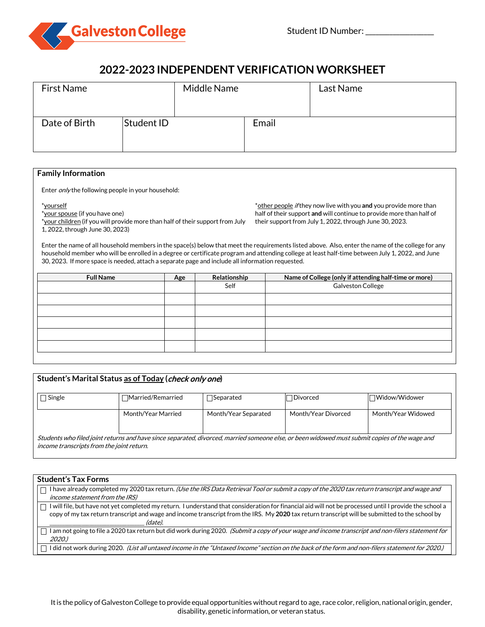

# **2022-2023 INDEPENDENT VERIFICATION WORKSHEET**

| <b>First Name</b> |            | Middle Name |       | Last Name |
|-------------------|------------|-------------|-------|-----------|
| Date of Birth     | Student ID |             | Email |           |

# **Family Information**

Enter *only* the following people in your household:

#### \*yourself

\*your spouse (if you have one) \*your children (if you will provide more than half of their support from July 1, 2022, through June 30, 2023)

\*other people if they now live with you **and** you provide more than half of their support **and** will continue to provide more than half of their support from July 1, 2022, through June 30, 2023.

Enter the name of all household members in the space(s) below that meet the requirements listed above. Also, enter the name of the college for any household member who will be enrolled in a degree or certificate program and attending college at least half-time between July 1, 2022, and June 30, 2023. If more space is needed, attach a separate page and include all information requested.

| Age | Relationship | Name of College (only if attending half-time or more) |
|-----|--------------|-------------------------------------------------------|
|     | Self         | Galveston College                                     |
|     |              |                                                       |
|     |              |                                                       |
|     |              |                                                       |
|     |              |                                                       |
|     |              |                                                       |
|     |              |                                                       |

| Student's Marital Status as of Today (check only one)                                                                                                                                      |                          |                      |                     |                    |
|--------------------------------------------------------------------------------------------------------------------------------------------------------------------------------------------|--------------------------|----------------------|---------------------|--------------------|
| Single                                                                                                                                                                                     | $\Box$ Married/Remarried | $\exists$ Separated  | Divorced            | Widow/Widower      |
|                                                                                                                                                                                            | Month/Year Married       | Month/Year Separated | Month/Year Divorced | Month/Year Widowed |
| Students who filed joint returns and have since separated, divorced, married someone else, or been widowed must submit copies of the wage and<br>income transcripts from the joint return. |                          |                      |                     |                    |

| <b>Student's Tax Forms</b>                                                                                                                              |
|---------------------------------------------------------------------------------------------------------------------------------------------------------|
| I have already completed my 2020 tax return. (Use the IRS Data Retrieval Tool or submit a copy of the 2020 tax return transcript and wage and           |
| <i>income statement from the IRS)</i>                                                                                                                   |
| I will file, but have not yet completed my return. I understand that consideration for financial aid will not be processed until I provide the school a |
| copy of my tax return transcript and wage and income transcript from the IRS. My 2020 tax return transcript will be submitted to the school by          |
| (date).                                                                                                                                                 |
| I am not going to file a 2020 tax return but did work during 2020. (Submit a copy of your wage and income transcript and non-filers statement for       |
| 2020.)                                                                                                                                                  |
| I did not work during 2020. (List all untaxed income in the "Untaxed Income" section on the back of the form and non-filers statement for 2020.)        |